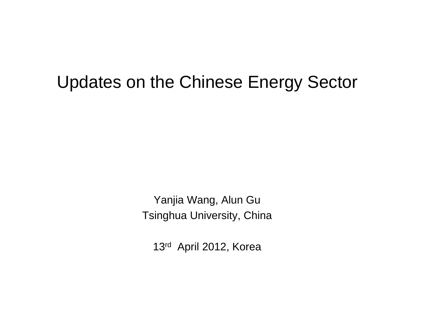#### Updates on the Chinese Energy Sector

Yanjia Wang, Alun Gu Tsinghua University, China

13r<sup>d</sup> April 2012, Korea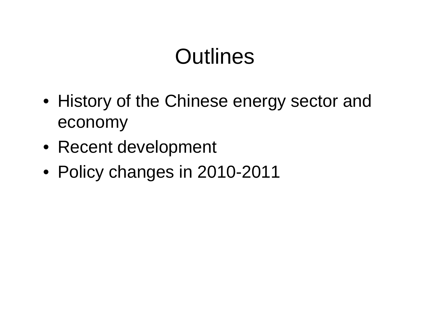## **Outlines**

- History of the Chinese energy sector and economy
- Recent development
- Policy changes in 2010-2011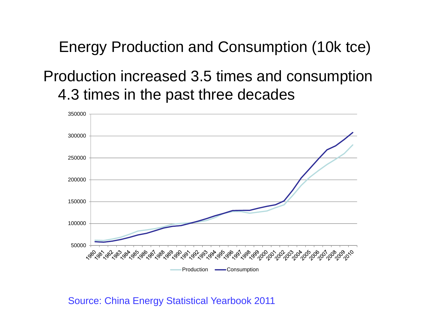Energy Production and Consumption (10k tce)

#### Production increased 3.5 times and consumption 4.3 times in the past three decades



Source: China Energy Statistical Yearbook 2011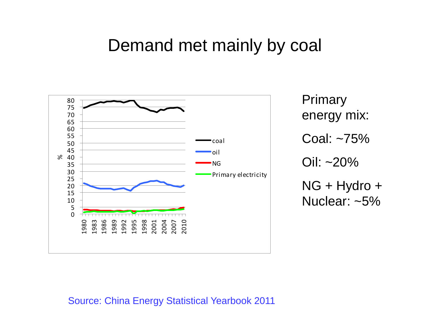#### Demand met mainly by coal



Primary energy mix: Coal: ~75%Oil: ~20% NG + Hydro + Nuclear: ~5%

Source: China Energy Statistical Yearbook 2011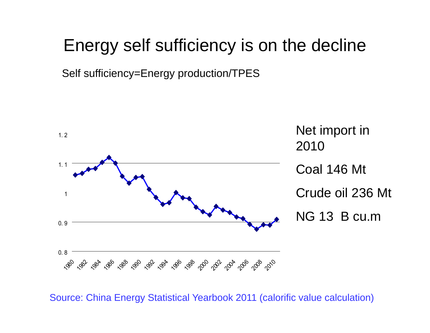### Energy self sufficiency is on the decline

Self sufficiency=Energy production/TPES



Source: China Energy Statistical Yearbook 2011 (calorific value calculation)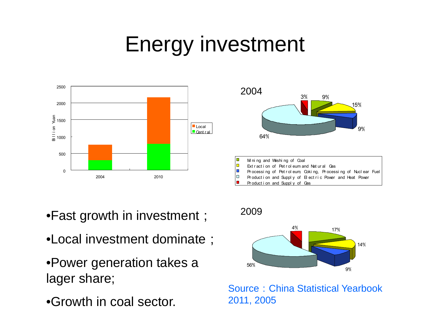# Energy investment



- •Fast growth in investment;
- •Local investment dominate;
- •Power generation takes a lager share;
- •Growth in coal sector.





Source: China Statistical Yearbook 2011, 2005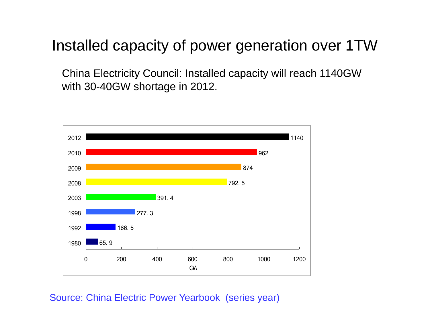Installed capacity of power generation over 1TW

China Electricity Council: Installed capacity will reach 1140GW with 30-40GW shortage in 2012.



Source: China Electric Power Yearbook (series year)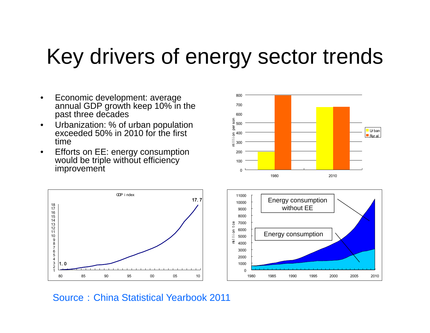## Key drivers of energy sector trends

0

- $\bullet$  Economic development: average annual GDP growth keep 10% in the past three decades
- $\bullet$  Urbanization: % of urban population exceeded 50% in 2010 for the first time
- • Efforts on EE: energy consumption would be triple without efficiency improvement and the state of the state of the state of the state of the state of the state of the state of the





1980 1985 1990 1995 2000 2005 2010

Source:China Statistical Yearbook 2011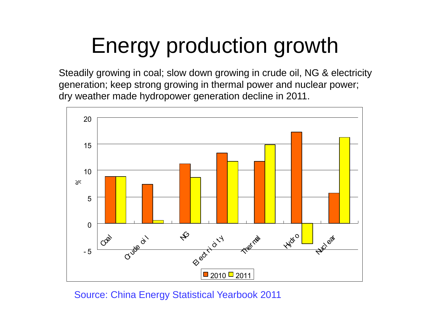# Energy production growth

Steadily growing in coal; slow down growing in crude oil, NG & electricity generation; keep strong growing in thermal power and nuclear power; dry weather made hydropower generation decline in 2011.



Source: China Energy Statistical Yearbook 2011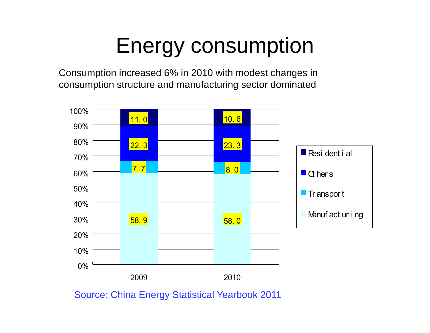# Energy consumption

Consumption increased 6% in 2010 with modest changes in consumption structure and manufacturing sector dominated



Source: China Energy Statistical Yearbook 2011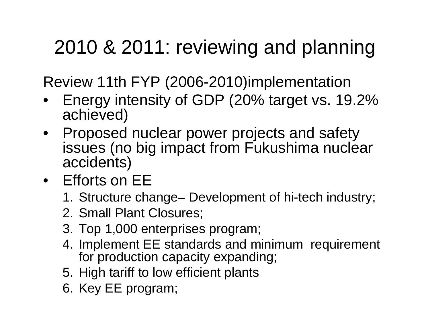## 2010 & 2011: reviewing and planning

Review 11th FYP (2006-2010)implementation

- • Energy intensity of GDP (20% target vs. 19.2% achieved)
- • Proposed nuclear power projects and safety issues (no big impact from Fukushima nuclear accidents)
- Efforts on EE
	- 1. Structure change– Development of hi-tech industry;
	- 2. Small Plant Closures;
	- 3. Top 1,000 enterprises program;
	- 4. Implement EE standards and minimum requirement for production capacity expanding;
	- 5. High tariff to low efficient plants
	- 6. Key EE program;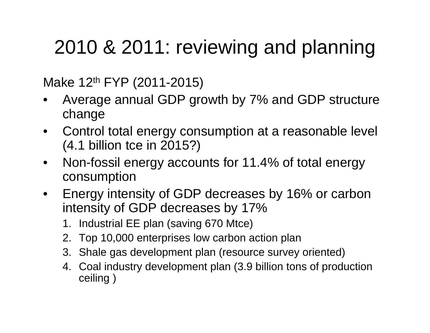## 2010 & 2011: reviewing and planning

Make 12<sup>th</sup> FYP (2011-2015)

- • Average annual GDP growth by 7% and GDP structure change
- • Control total energy consumption at a reasonable level (4.1 billion tce in 2015?)
- $\bullet$  Non-fossil energy accounts for 11.4% of total energy consumption
- $\bullet$  Energy intensity of GDP decreases by 16% or carbon intensity of GDP decreases by 17%
	- 1. Industrial EE plan (saving 670 Mtce)
	- 2. Top 10,000 enterprises low carbon action plan
	- 3. Shale gas development plan (resource survey oriented)
	- 4. Coal industry development plan (3.9 billion tons of production ceiling )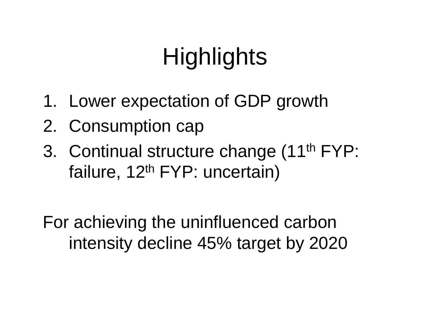# **Highlights**

- 1. Lower expectation of GDP growth
- 2. Consumption cap
- 3. Continual structure change (11th FYP: failure, 12<sup>th</sup> FYP: uncertain)

For achieving the uninfluenced carbon intensity decline 45% target by 2020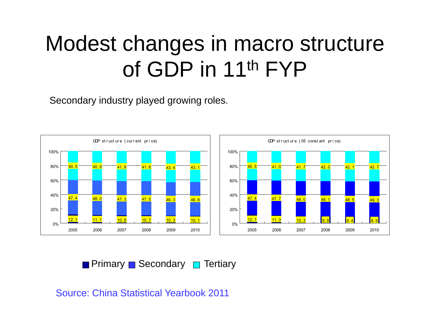## Modest changes in macro structure of GDP in 11<sup>th</sup> FYP

Secondary industry played growing roles.



Primary **B** Secondary **Primary** 

Source: China Statistical Yearbook 2011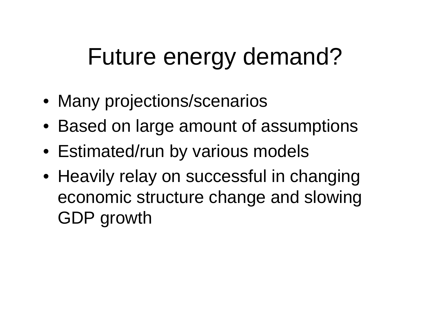# Future energy demand?

- Many projections/scenarios
- Based on large amount of assumptions
- Estimated/run by various models
- Heavily relay on successful in changing economic structure change and slowing GDP growth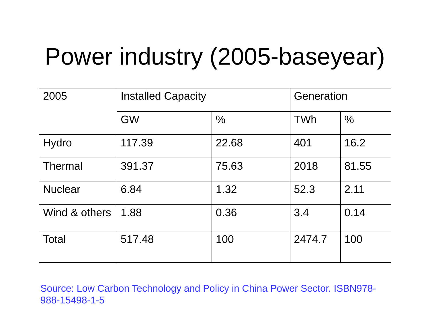# Power industry (2005-baseyear)

| 2005           | <b>Installed Capacity</b> |               | Generation |               |
|----------------|---------------------------|---------------|------------|---------------|
|                | <b>GW</b>                 | $\frac{0}{0}$ | TWh        | $\frac{0}{0}$ |
| Hydro          | 117.39                    | 22.68         | 401        | 16.2          |
| Thermal        | 391.37                    | 75.63         | 2018       | 81.55         |
| <b>Nuclear</b> | 6.84                      | 1.32          | 52.3       | 2.11          |
| Wind & others  | 1.88                      | 0.36          | 3.4        | 0.14          |
| <b>Total</b>   | 517.48                    | 100           | 2474.7     | 100           |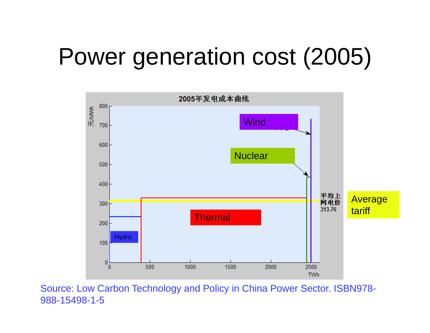# Power generation cost (2005)

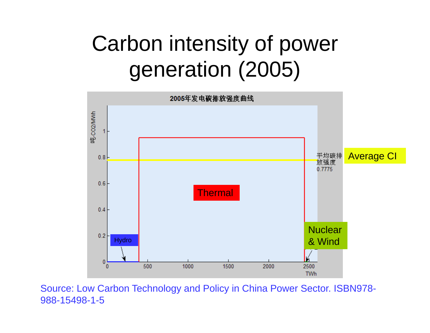# Carbon intensity of power generation (2005)

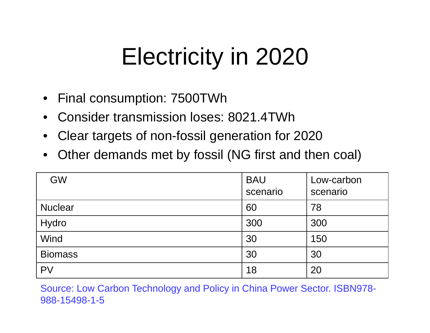# Electricity in 2020

- Final consumption: 7500TWh
- •Consider transmission loses: 8021.4TWh
- $\bullet$ Clear targets of non-fossil generation for 2020
- •Other demands met by fossil (NG first and then coal)

| <b>GW</b>      | <b>BAU</b><br>scenario | Low-carbon<br>scenario |
|----------------|------------------------|------------------------|
| <b>Nuclear</b> | 60                     | 78                     |
| Hydro          | 300                    | 300                    |
| Wind           | 30                     | 150                    |
| <b>Biomass</b> | 30                     | 30                     |
| <b>PV</b>      | 18                     | 20                     |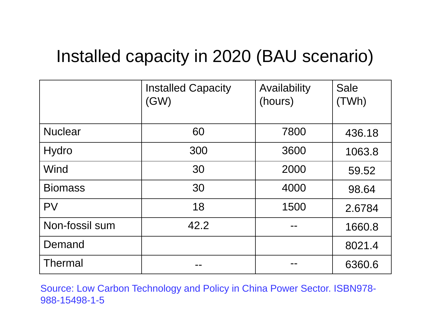### Installed capacity in 2020 (BAU scenario)

|                | <b>Installed Capacity</b><br>(GW) | Availability<br>(hours) | <b>Sale</b><br>(TWh) |
|----------------|-----------------------------------|-------------------------|----------------------|
| <b>Nuclear</b> | 60                                | 7800                    | 436.18               |
| <b>Hydro</b>   | 300                               | 3600                    | 1063.8               |
| Wind           | 30                                | 2000                    | 59.52                |
| <b>Biomass</b> | 30                                | 4000                    | 98.64                |
| <b>PV</b>      | 18                                | 1500                    | 2.6784               |
| Non-fossil sum | 42.2                              |                         | 1660.8               |
| Demand         |                                   |                         | 8021.4               |
| <b>Thermal</b> |                                   |                         | 6360.6               |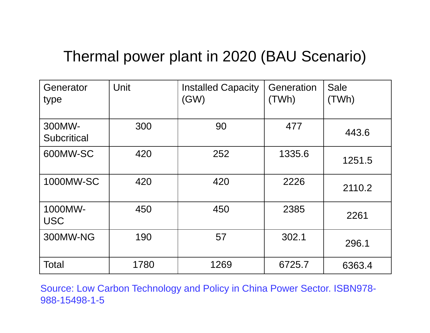#### Thermal power plant in 2020 (BAU Scenario)

| Generator<br>type            | Unit | <b>Installed Capacity</b><br>(GW) | Generation<br>(TWh) | <b>Sale</b><br>(TWh) |
|------------------------------|------|-----------------------------------|---------------------|----------------------|
| 300MW-<br><b>Subcritical</b> | 300  | 90                                | 477                 | 443.6                |
| 600MW-SC                     | 420  | 252                               | 1335.6              | 1251.5               |
| 1000MW-SC                    | 420  | 420                               | 2226                | 2110.2               |
| 1000MW-<br><b>USC</b>        | 450  | 450                               | 2385                | 2261                 |
| 300MW-NG                     | 190  | 57                                | 302.1               | 296.1                |
| <b>Total</b>                 | 1780 | 1269                              | 6725.7              | 6363.4               |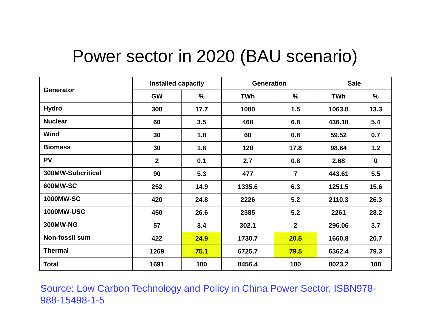### Power sector in 2020 (BAU scenario)

| <b>Generator</b>      | <b>Installed capacity</b> |      | <b>Generation</b> |                | <b>Sale</b> |             |
|-----------------------|---------------------------|------|-------------------|----------------|-------------|-------------|
|                       | <b>GW</b>                 | %    | TWh               | $\%$           | <b>TWh</b>  | %           |
| <b>Hydro</b>          | 300                       | 17.7 | 1080              | 1.5            | 1063.8      | 13.3        |
| <b>Nuclear</b>        | 60                        | 3.5  | 468               | 6.8            | 436.18      | 5.4         |
| <b>Wind</b>           | 30                        | 1.8  | 60                | 0.8            | 59.52       | 0.7         |
| <b>Biomass</b>        | 30                        | 1.8  | 120               | 17.8           | 98.64       | 1.2         |
| <b>PV</b>             | $\overline{2}$            | 0.1  | 2.7               | 0.8            | 2.68        | $\mathbf 0$ |
| 300MW-Subcritical     | 90                        | 5.3  | 477               | $\overline{7}$ | 443.61      | 5.5         |
| 600MW-SC              | 252                       | 14.9 | 1335.6            | 6.3            | 1251.5      | 15.6        |
| <b>1000MW-SC</b>      | 420                       | 24.8 | 2226              | 5.2            | 2110.3      | 26.3        |
| <b>1000MW-USC</b>     | 450                       | 26.6 | 2385              | 5.2            | 2261        | 28.2        |
| <b>300MW-NG</b>       | 57                        | 3.4  | 302.1             | $\overline{2}$ | 296.06      | 3.7         |
| <b>Non-fossil sum</b> | 422                       | 24.9 | 1730.7            | 20.5           | 1660.8      | 20.7        |
| <b>Thermal</b>        | 1269                      | 75.1 | 6725.7            | 79.5           | 6362.4      | 79.3        |
| <b>Total</b>          | 1691                      | 100  | 8456.4            | 100            | 8023.2      | 100         |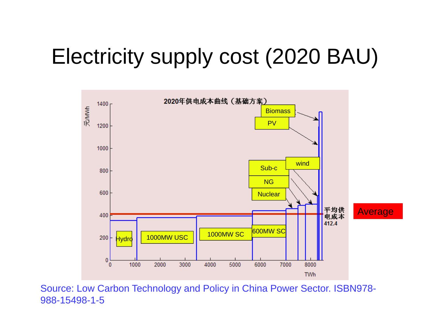## Electricity supply cost (2020 BAU)

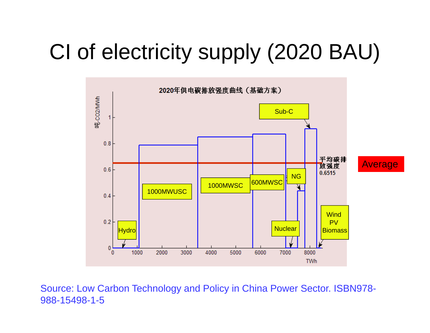## CI of electricity supply (2020 BAU)